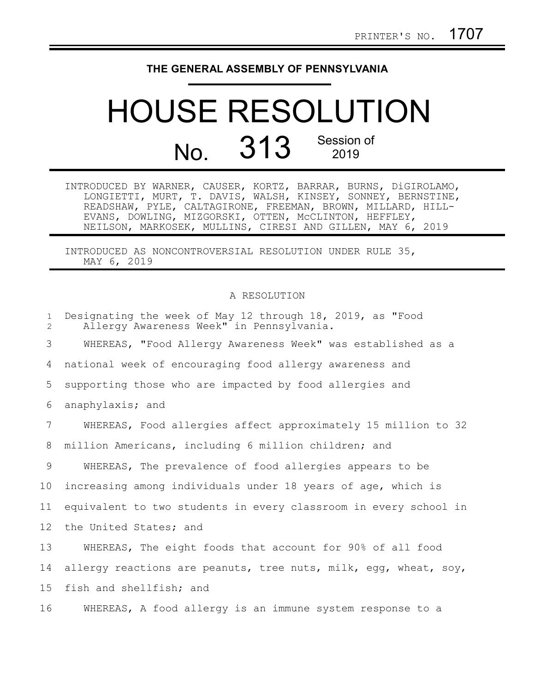## **THE GENERAL ASSEMBLY OF PENNSYLVANIA**

## HOUSE RESOLUTION No. 313 Session of

INTRODUCED BY WARNER, CAUSER, KORTZ, BARRAR, BURNS, DiGIROLAMO, LONGIETTI, MURT, T. DAVIS, WALSH, KINSEY, SONNEY, BERNSTINE, READSHAW, PYLE, CALTAGIRONE, FREEMAN, BROWN, MILLARD, HILL-EVANS, DOWLING, MIZGORSKI, OTTEN, McCLINTON, HEFFLEY, NEILSON, MARKOSEK, MULLINS, CIRESI AND GILLEN, MAY 6, 2019

INTRODUCED AS NONCONTROVERSIAL RESOLUTION UNDER RULE 35, MAY 6, 2019

## A RESOLUTION

| $\mathbf{1}$<br>$\overline{2}$ | Designating the week of May 12 through 18, 2019, as "Food<br>Allergy Awareness Week" in Pennsylvania. |
|--------------------------------|-------------------------------------------------------------------------------------------------------|
| 3                              | WHEREAS, "Food Allergy Awareness Week" was established as a                                           |
| 4                              | national week of encouraging food allergy awareness and                                               |
| 5                              | supporting those who are impacted by food allergies and                                               |
| 6                              | anaphylaxis; and                                                                                      |
| 7                              | WHEREAS, Food allergies affect approximately 15 million to 32                                         |
| 8                              | million Americans, including 6 million children; and                                                  |
| 9                              | WHEREAS, The prevalence of food allergies appears to be                                               |
| 10                             | increasing among individuals under 18 years of age, which is                                          |
| 11                             | equivalent to two students in every classroom in every school in                                      |
| 12                             | the United States; and                                                                                |
| 13                             | WHEREAS, The eight foods that account for 90% of all food                                             |
| 14                             | allergy reactions are peanuts, tree nuts, milk, egg, wheat, soy,                                      |
| 15                             | fish and shellfish; and                                                                               |
| 16                             | WHEREAS, A food allergy is an immune system response to a                                             |